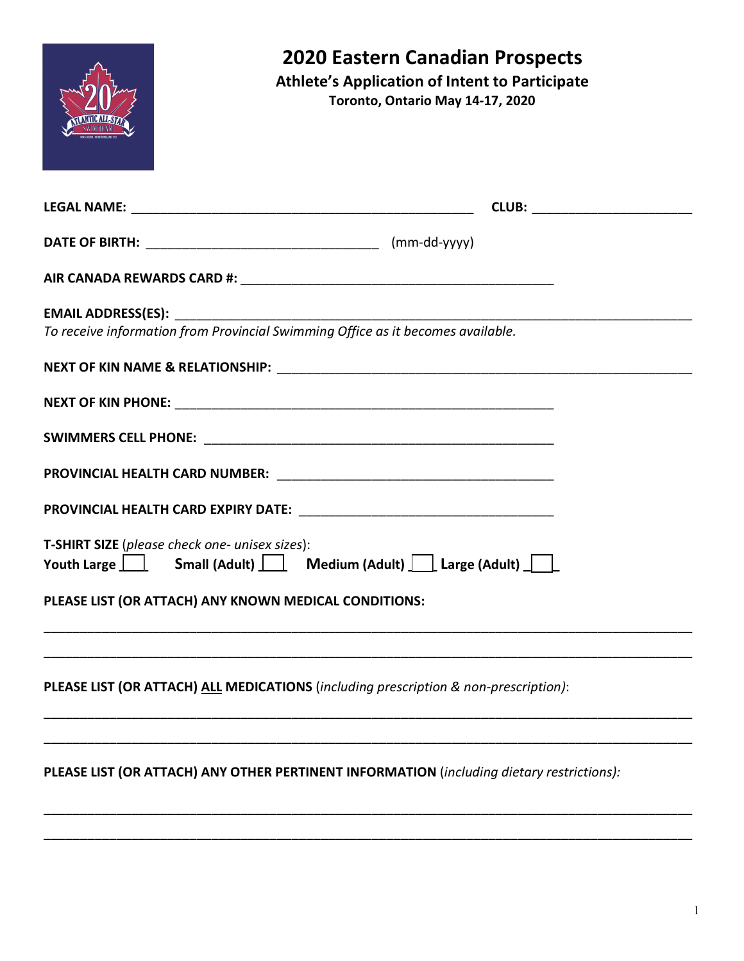## **2020 Eastern Canadian Prospects**

**Athlete's Application of Intent to Participate**

**Toronto, Ontario May 14-17, 2020**

| <b>EMAIL ADDRESS(ES):</b><br>To receive information from Provincial Swimming Office as it becomes available. |  |
|--------------------------------------------------------------------------------------------------------------|--|
|                                                                                                              |  |
|                                                                                                              |  |
|                                                                                                              |  |
|                                                                                                              |  |
|                                                                                                              |  |
| T-SHIRT SIZE (please check one- unisex sizes):<br>Youth Large Small (Adult) Medium (Adult) Large (Adult)     |  |
| PLEASE LIST (OR ATTACH) ANY KNOWN MEDICAL CONDITIONS:                                                        |  |
|                                                                                                              |  |
| PLEASE LIST (OR ATTACH) ALL MEDICATIONS (including prescription & non-prescription):                         |  |
|                                                                                                              |  |
| PLEASE LIST (OR ATTACH) ANY OTHER PERTINENT INFORMATION (including dietary restrictions):                    |  |
|                                                                                                              |  |

\_\_\_\_\_\_\_\_\_\_\_\_\_\_\_\_\_\_\_\_\_\_\_\_\_\_\_\_\_\_\_\_\_\_\_\_\_\_\_\_\_\_\_\_\_\_\_\_\_\_\_\_\_\_\_\_\_\_\_\_\_\_\_\_\_\_\_\_\_\_\_\_\_\_\_\_\_\_\_\_\_\_\_\_\_\_\_\_\_